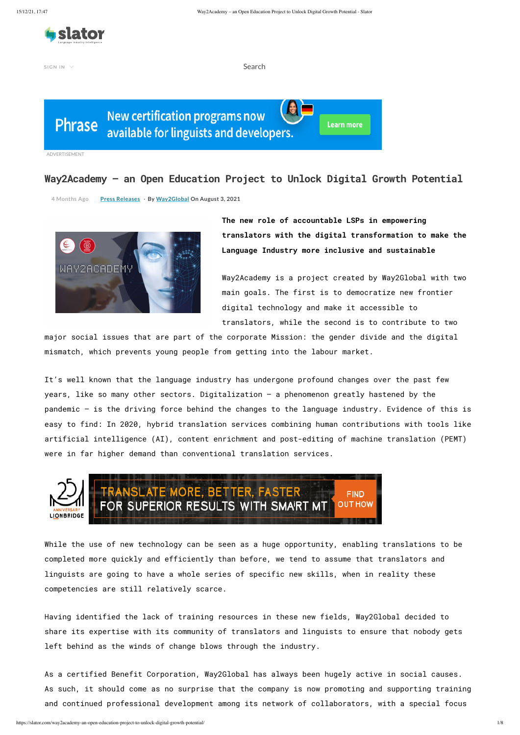

 $SIGN IN \nightharpoonup$ 

**The new role of accountable LSPs in empowering translators with the digital transformation to make the Language Industry more inclusive and sustainable** 

**Learn more** 

Way2Academy is a project created by Way2Global with two main goals. The first is to democratize new frontier digital technology and make it accessible to translators, while the second is to contribute to two

major social issues that are part of the corporate Mission: the gender divide and the digital mismatch, which prevents young people from getting into the labour market.

It's well known that the language industry has undergone profound changes over the past few years, like so many other sectors. Digitalization – a phenomenon greatly hastened by the pandemic – is the driving force behind the changes to the language industry. Evidence of this is easy to find: In 2020, hybrid translation services combining human contributions with tools like artificial intelligence (AI), content enrichment and post-editing of machine translation (PEMT) were in far higher demand than conventional translation services.



While the use of new technology can be seen as a huge opportunity, enabling translations to be

completed more quickly and efficiently than before, we tend to assume that translators and linguists are going to have a whole series of specific new skills, when in reality these competencies are still relatively scarce.

Having identified the lack of training resources in these new fields, Way2Global decided to share its expertise with its community of translators and linguists to ensure that nobody gets left behind as the winds of change blows through the industry.

As a certified Benefit Corporation, Way2Global has always been hugely active in social causes. As such, it should come as no surprise that the company is now promoting and supporting training and continued professional development among its network of collaborators, with a special focus

## **Way2Academy – an Open Education Project to Unlock Digital Growth Potential**

**4 Months Ago Press [Releases](https://slator.com/press-releases/)** · **By [Way2Global](https://slator.com/author/wondergori/) On August 3, 2021**



ADVERTISEMENT

Search

**Phrase** 

圆 **New certification programs now** available for linguists and developers.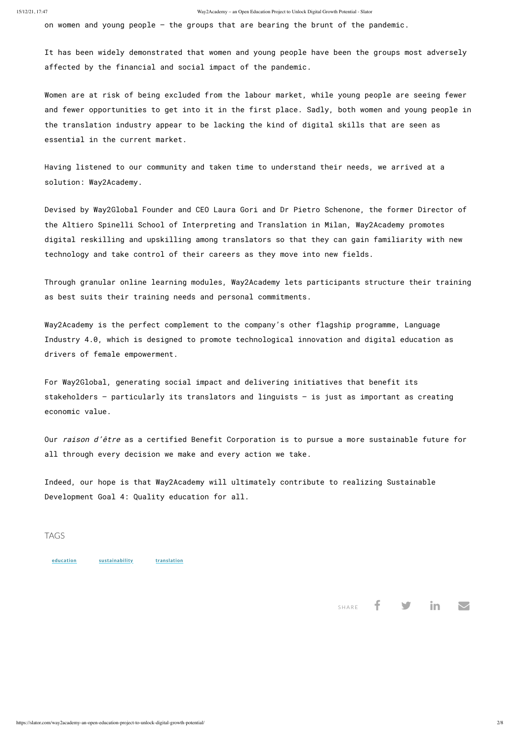https://slator.com/way2academy-an-open-education-project-to-unlock-digital-growth-potential/ 2/8

on women and young people – the groups that are bearing the brunt of the pandemic.

It has been widely demonstrated that women and young people have been the groups most adversely affected by the financial and social impact of the pandemic.

Women are at risk of being excluded from the labour market, while young people are seeing fewer and fewer opportunities to get into it in the first place. Sadly, both women and young people in the translation industry appear to be lacking the kind of digital skills that are seen as essential in the current market.

Having listened to our community and taken time to understand their needs, we arrived at a solution: Way2Academy.

Our raison d'être as a certified Benefit Corporation is to pursue a more sustainable future for all through every decision we make and every action we take.

Devised by Way2Global Founder and CEO Laura Gori and Dr Pietro Schenone, the former Director of the Altiero Spinelli School of Interpreting and Translation in Milan, Way2Academy promotes digital reskilling and upskilling among translators so that they can gain familiarity with new technology and take control of their careers as they move into new fields.

Through granular online learning modules, Way2Academy lets participants structure their training as best suits their training needs and personal commitments.

Way2Academy is the perfect complement to the company's other flagship programme, Language Industry 4.0, which is designed to promote technological innovation and digital education as drivers of female empowerment.

For Way2Global, generating social impact and delivering initiatives that benefit its stakeholders – particularly its translators and linguists – is just as important as creating economic value.

Indeed, our hope is that Way2Academy will ultimately contribute to realizing Sustainable Development Goal 4: Quality education for all.



## SHARE  $\parallel$   $\parallel$   $\parallel$   $\parallel$   $\parallel$